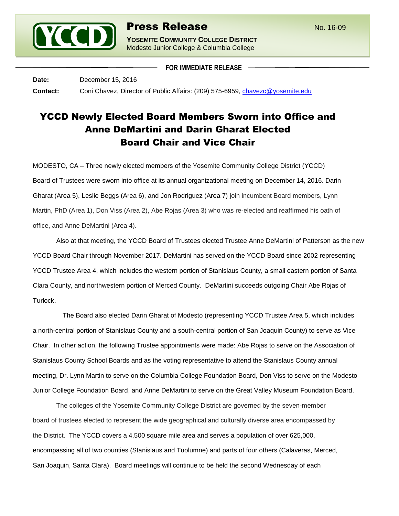

## **Press Release** No. 16-09

**YOSEMITE COMMUNITY COLLEGE DISTRICT** Modesto Junior College & Columbia College

**FOR IMMEDIATE RELEASE**

**Date:** December 15, 2016 **Contact:** Coni Chavez, Director of Public Affairs: (209) 575-6959, [chavezc@yosemite.edu](mailto:chavezc@yosemite.edu)

## YCCD Newly Elected Board Members Sworn into Office and Anne DeMartini and Darin Gharat Elected Board Chair and Vice Chair

MODESTO, CA – Three newly elected members of the Yosemite Community College District (YCCD) Board of Trustees were sworn into office at its annual organizational meeting on December 14, 2016. Darin Gharat (Area 5), Leslie Beggs (Area 6), and Jon Rodriguez (Area 7) join incumbent Board members, Lynn Martin, PhD (Area 1), Don Viss (Area 2), Abe Rojas (Area 3) who was re-elected and reaffirmed his oath of office, and Anne DeMartini (Area 4).

Also at that meeting, the YCCD Board of Trustees elected Trustee Anne DeMartini of Patterson as the new YCCD Board Chair through November 2017. DeMartini has served on the YCCD Board since 2002 representing YCCD Trustee Area 4, which includes the western portion of Stanislaus County, a small eastern portion of Santa Clara County, and northwestern portion of Merced County. DeMartini succeeds outgoing Chair Abe Rojas of Turlock.

The Board also elected Darin Gharat of Modesto (representing YCCD Trustee Area 5, which includes a north-central portion of Stanislaus County and a south-central portion of San Joaquin County) to serve as Vice Chair. In other action, the following Trustee appointments were made: Abe Rojas to serve on the Association of Stanislaus County School Boards and as the voting representative to attend the Stanislaus County annual meeting, Dr. Lynn Martin to serve on the Columbia College Foundation Board, Don Viss to serve on the Modesto Junior College Foundation Board, and Anne DeMartini to serve on the Great Valley Museum Foundation Board.

The colleges of the Yosemite Community College District are governed by the seven-member board of trustees elected to represent the wide geographical and culturally diverse area encompassed by the District. The YCCD covers a 4,500 square mile area and serves a population of over 625,000, encompassing all of two counties (Stanislaus and Tuolumne) and parts of four others (Calaveras, Merced, San Joaquin, Santa Clara). Board meetings will continue to be held the second Wednesday of each